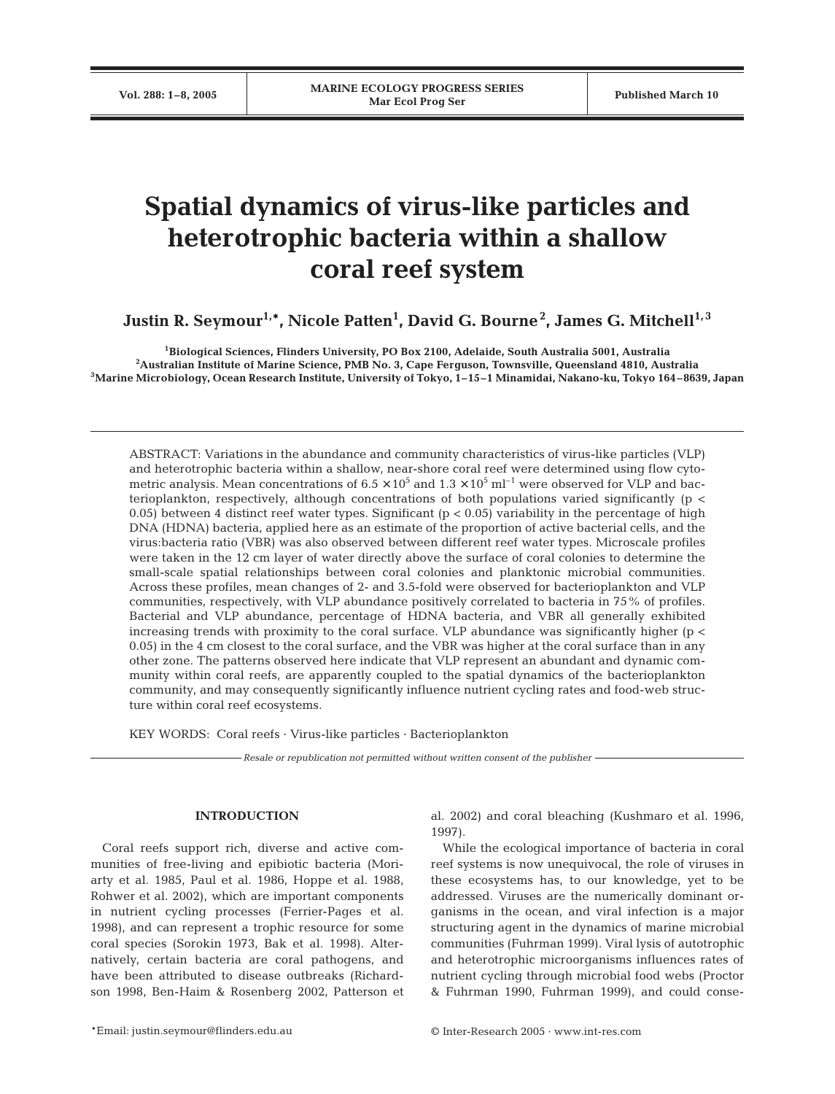# **Spatial dynamics of virus-like particles and heterotrophic bacteria within a shallow coral reef system**

 $\boldsymbol{\mathrm{J} \mathrm{u} }$ stin R. Seymour $^{1,\ast}$ , Nicole Patten $^{1}$ , David G. Bourne $^{2}$ , James G. Mitchell $^{1,\,3}$ 

**1Biological Sciences, Flinders University, PO Box 2100, Adelaide, South Australia 5001, Australia 2 Australian Institute of Marine Science, PMB No. 3, Cape Ferguson, Townsville, Queensland 4810, Australia 3Marine Microbiology, Ocean Research Institute, University of Tokyo, 1–15–1 Minamidai, Nakano-ku, Tokyo 164–8639, Japan**

ABSTRACT: Variations in the abundance and community characteristics of virus-like particles (VLP) and heterotrophic bacteria within a shallow, near-shore coral reef were determined using flow cytometric analysis. Mean concentrations of  $6.5 \times 10^5$  and  $1.3 \times 10^5$  ml<sup>-1</sup> were observed for VLP and bacterioplankton, respectively, although concentrations of both populations varied significantly (p < 0.05) between 4 distinct reef water types. Significant ( $p < 0.05$ ) variability in the percentage of high DNA (HDNA) bacteria, applied here as an estimate of the proportion of active bacterial cells, and the virus:bacteria ratio (VBR) was also observed between different reef water types. Microscale profiles were taken in the 12 cm layer of water directly above the surface of coral colonies to determine the small-scale spatial relationships between coral colonies and planktonic microbial communities. Across these profiles, mean changes of 2- and 3.5-fold were observed for bacterioplankton and VLP communities, respectively, with VLP abundance positively correlated to bacteria in 75% of profiles. Bacterial and VLP abundance, percentage of HDNA bacteria, and VBR all generally exhibited increasing trends with proximity to the coral surface. VLP abundance was significantly higher (p < 0.05) in the 4 cm closest to the coral surface, and the VBR was higher at the coral surface than in any other zone. The patterns observed here indicate that VLP represent an abundant and dynamic community within coral reefs, are apparently coupled to the spatial dynamics of the bacterioplankton community, and may consequently significantly influence nutrient cycling rates and food-web structure within coral reef ecosystems.

KEY WORDS: Coral reefs · Virus-like particles · Bacterioplankton

*Resale or republication not permitted without written consent of the publisher*

## **INTRODUCTION**

Coral reefs support rich, diverse and active communities of free-living and epibiotic bacteria (Moriarty et al. 1985, Paul et al. 1986, Hoppe et al. 1988, Rohwer et al. 2002), which are important components in nutrient cycling processes (Ferrier-Pages et al. 1998), and can represent a trophic resource for some coral species (Sorokin 1973, Bak et al. 1998). Alternatively, certain bacteria are coral pathogens, and have been attributed to disease outbreaks (Richardson 1998, Ben-Haim & Rosenberg 2002, Patterson et al. 2002) and coral bleaching (Kushmaro et al. 1996, 1997).

While the ecological importance of bacteria in coral reef systems is now unequivocal, the role of viruses in these ecosystems has, to our knowledge, yet to be addressed. Viruses are the numerically dominant organisms in the ocean, and viral infection is a major structuring agent in the dynamics of marine microbial communities (Fuhrman 1999). Viral lysis of autotrophic and heterotrophic microorganisms influences rates of nutrient cycling through microbial food webs (Proctor & Fuhrman 1990, Fuhrman 1999), and could conse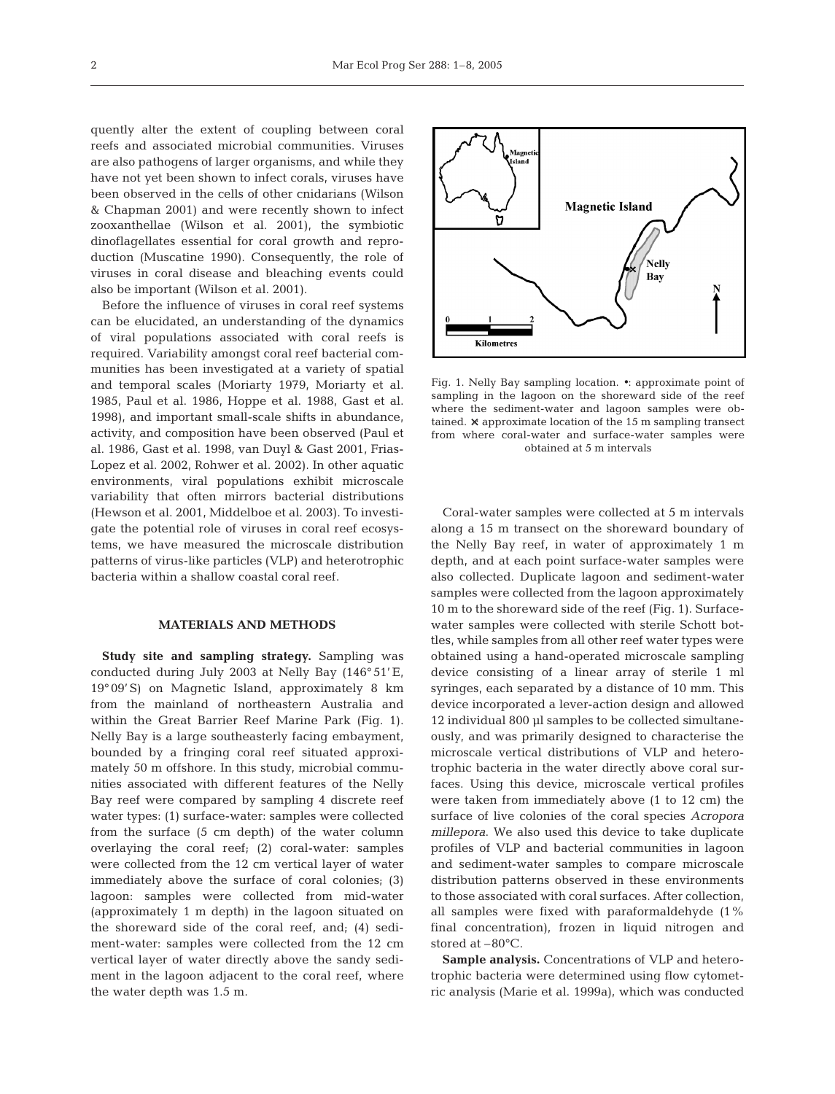quently alter the extent of coupling between coral reefs and associated microbial communities. Viruses are also pathogens of larger organisms, and while they have not yet been shown to infect corals, viruses have been observed in the cells of other cnidarians (Wilson & Chapman 2001) and were recently shown to infect zooxanthellae (Wilson et al. 2001), the symbiotic dinoflagellates essential for coral growth and reproduction (Muscatine 1990). Consequently, the role of viruses in coral disease and bleaching events could also be important (Wilson et al. 2001).

Before the influence of viruses in coral reef systems can be elucidated, an understanding of the dynamics of viral populations associated with coral reefs is required. Variability amongst coral reef bacterial communities has been investigated at a variety of spatial and temporal scales (Moriarty 1979, Moriarty et al. 1985, Paul et al. 1986, Hoppe et al. 1988, Gast et al. 1998), and important small-scale shifts in abundance, activity, and composition have been observed (Paul et al. 1986, Gast et al. 1998, van Duyl & Gast 2001, Frias-Lopez et al. 2002, Rohwer et al. 2002). In other aquatic environments, viral populations exhibit microscale variability that often mirrors bacterial distributions (Hewson et al. 2001, Middelboe et al. 2003). To investigate the potential role of viruses in coral reef ecosystems, we have measured the microscale distribution patterns of virus-like particles (VLP) and heterotrophic bacteria within a shallow coastal coral reef.

#### **MATERIALS AND METHODS**

**Study site and sampling strategy.** Sampling was conducted during July 2003 at Nelly Bay (146° 51'E, 19° 09'S) on Magnetic Island, approximately 8 km from the mainland of northeastern Australia and within the Great Barrier Reef Marine Park (Fig. 1). Nelly Bay is a large southeasterly facing embayment, bounded by a fringing coral reef situated approximately 50 m offshore. In this study, microbial communities associated with different features of the Nelly Bay reef were compared by sampling 4 discrete reef water types: (1) surface-water: samples were collected from the surface (5 cm depth) of the water column overlaying the coral reef; (2) coral-water: samples were collected from the 12 cm vertical layer of water immediately above the surface of coral colonies; (3) lagoon: samples were collected from mid-water (approximately 1 m depth) in the lagoon situated on the shoreward side of the coral reef, and; (4) sediment-water: samples were collected from the 12 cm vertical layer of water directly above the sandy sediment in the lagoon adjacent to the coral reef, where the water depth was 1.5 m.



Fig. 1. Nelly Bay sampling location. •: approximate point of sampling in the lagoon on the shoreward side of the reef where the sediment-water and lagoon samples were obtained. ×: approximate location of the 15 m sampling transect from where coral-water and surface-water samples were obtained at 5 m intervals

Coral-water samples were collected at 5 m intervals along a 15 m transect on the shoreward boundary of the Nelly Bay reef, in water of approximately 1 m depth, and at each point surface-water samples were also collected. Duplicate lagoon and sediment-water samples were collected from the lagoon approximately 10 m to the shoreward side of the reef (Fig. 1). Surfacewater samples were collected with sterile Schott bottles, while samples from all other reef water types were obtained using a hand-operated microscale sampling device consisting of a linear array of sterile 1 ml syringes, each separated by a distance of 10 mm. This device incorporated a lever-action design and allowed 12 individual 800 µl samples to be collected simultaneously, and was primarily designed to characterise the microscale vertical distributions of VLP and heterotrophic bacteria in the water directly above coral surfaces. Using this device, microscale vertical profiles were taken from immediately above (1 to 12 cm) the surface of live colonies of the coral species *Acropora millepora*. We also used this device to take duplicate profiles of VLP and bacterial communities in lagoon and sediment-water samples to compare microscale distribution patterns observed in these environments to those associated with coral surfaces. After collection, all samples were fixed with paraformaldehyde (1% final concentration), frozen in liquid nitrogen and stored at –80°C.

**Sample analysis.** Concentrations of VLP and heterotrophic bacteria were determined using flow cytometric analysis (Marie et al. 1999a), which was conducted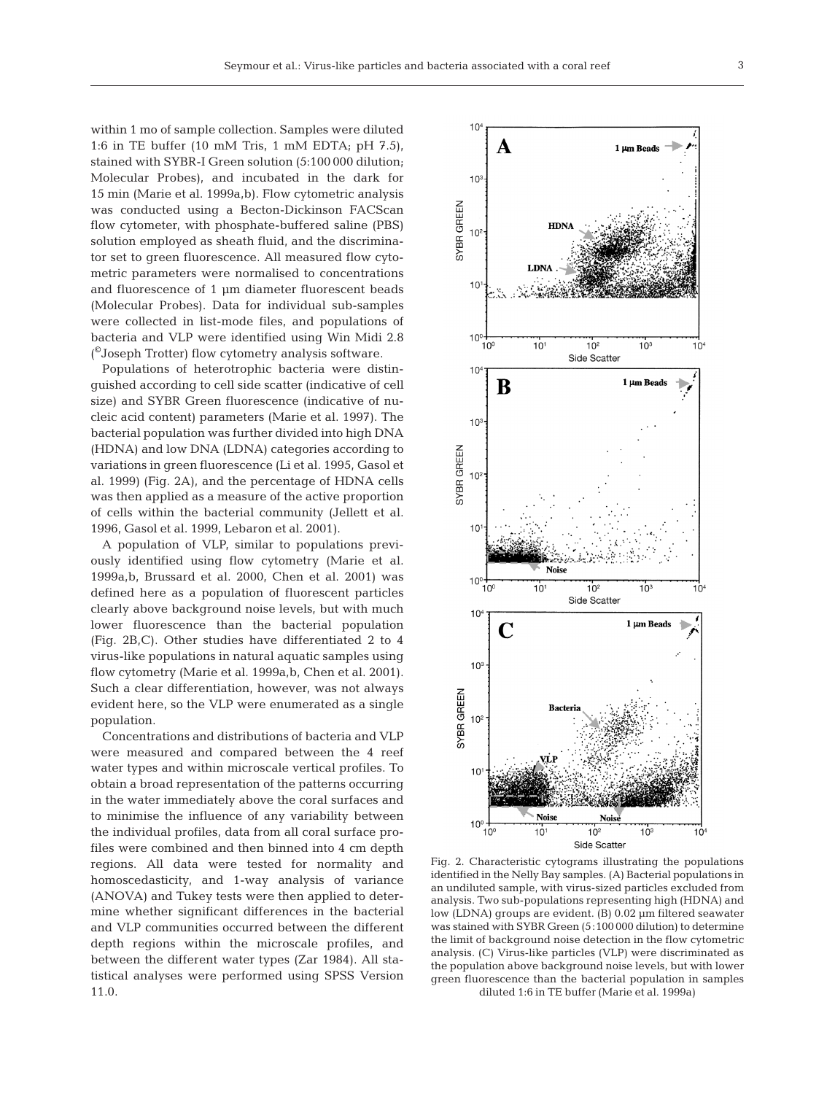within 1 mo of sample collection. Samples were diluted 1:6 in TE buffer (10 mM Tris, 1 mM EDTA; pH 7.5), stained with SYBR-I Green solution (5:100 000 dilution; Molecular Probes), and incubated in the dark for 15 min (Marie et al. 1999a,b). Flow cytometric analysis was conducted using a Becton-Dickinson FACScan flow cytometer, with phosphate-buffered saline (PBS) solution employed as sheath fluid, and the discriminator set to green fluorescence. All measured flow cytometric parameters were normalised to concentrations and fluorescence of 1 µm diameter fluorescent beads (Molecular Probes). Data for individual sub-samples were collected in list-mode files, and populations of bacteria and VLP were identified using Win Midi 2.8 ( ©Joseph Trotter) flow cytometry analysis software.

Populations of heterotrophic bacteria were distinguished according to cell side scatter (indicative of cell size) and SYBR Green fluorescence (indicative of nucleic acid content) parameters (Marie et al. 1997). The bacterial population was further divided into high DNA (HDNA) and low DNA (LDNA) categories according to variations in green fluorescence (Li et al. 1995, Gasol et al. 1999) (Fig. 2A), and the percentage of HDNA cells was then applied as a measure of the active proportion of cells within the bacterial community (Jellett et al. 1996, Gasol et al. 1999, Lebaron et al. 2001).

A population of VLP, similar to populations previously identified using flow cytometry (Marie et al. 1999a,b, Brussard et al. 2000, Chen et al. 2001) was defined here as a population of fluorescent particles clearly above background noise levels, but with much lower fluorescence than the bacterial population (Fig. 2B,C). Other studies have differentiated 2 to 4 virus-like populations in natural aquatic samples using flow cytometry (Marie et al. 1999a,b, Chen et al. 2001). Such a clear differentiation, however, was not always evident here, so the VLP were enumerated as a single population.

Concentrations and distributions of bacteria and VLP were measured and compared between the 4 reef water types and within microscale vertical profiles. To obtain a broad representation of the patterns occurring in the water immediately above the coral surfaces and to minimise the influence of any variability between the individual profiles, data from all coral surface profiles were combined and then binned into 4 cm depth regions. All data were tested for normality and homoscedasticity, and 1-way analysis of variance (ANOVA) and Tukey tests were then applied to determine whether significant differences in the bacterial and VLP communities occurred between the different depth regions within the microscale profiles, and between the different water types (Zar 1984). All statistical analyses were performed using SPSS Version 11.0.



Fig. 2. Characteristic cytograms illustrating the populations identified in the Nelly Bay samples. (A) Bacterial populations in an undiluted sample, with virus-sized particles excluded from analysis. Two sub-populations representing high (HDNA) and low (LDNA) groups are evident. (B) 0.02 µm filtered seawater was stained with SYBR Green (5:100 000 dilution) to determine the limit of background noise detection in the flow cytometric analysis. (C) Virus-like particles (VLP) were discriminated as the population above background noise levels, but with lower green fluorescence than the bacterial population in samples diluted 1:6 in TE buffer (Marie et al. 1999a)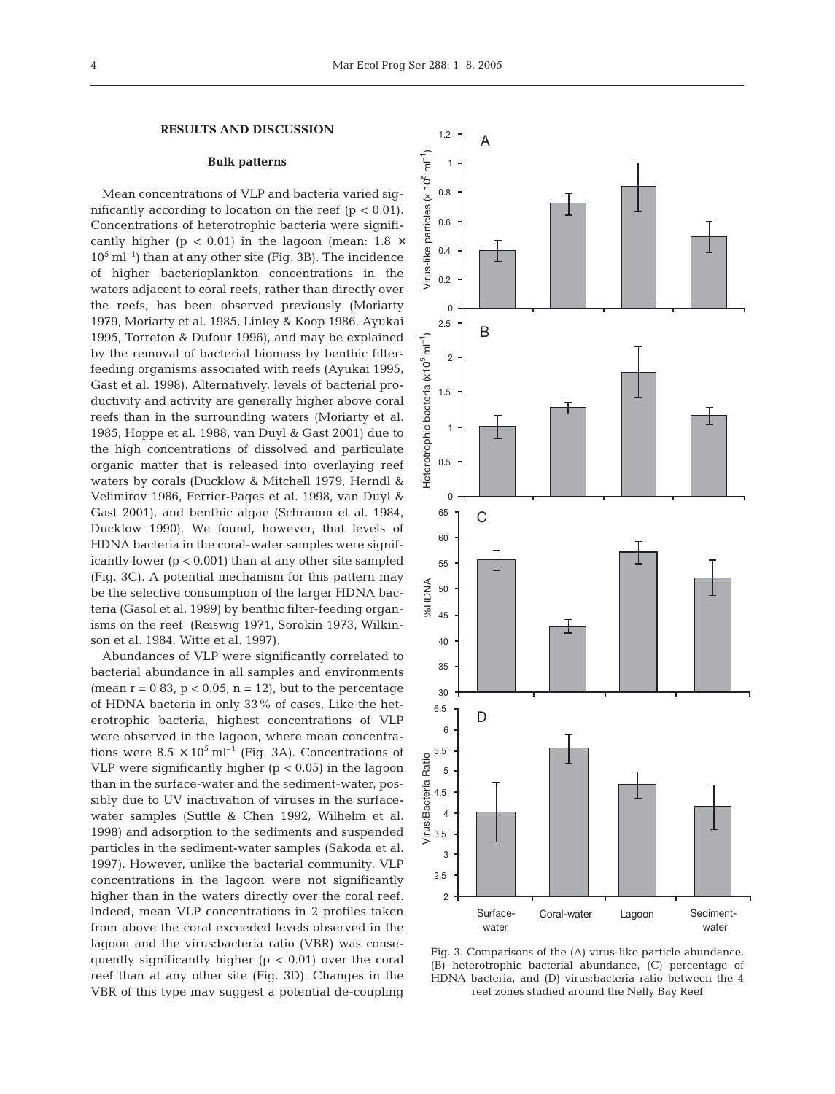## **RESULTS AND DISCUSSION**

#### **Bulk patterns**

Mean concentrations of VLP and bacteria varied significantly according to location on the reef  $(p < 0.01)$ . Concentrations of heterotrophic bacteria were significantly higher ( $p < 0.01$ ) in the lagoon (mean: 1.8  $\times$  $10^5$  ml<sup>-1</sup>) than at any other site (Fig. 3B). The incidence of higher bacterioplankton concentrations in the waters adjacent to coral reefs, rather than directly over the reefs, has been observed previously (Moriarty 1979, Moriarty et al. 1985, Linley & Koop 1986, Ayukai 1995, Torreton & Dufour 1996), and may be explained by the removal of bacterial biomass by benthic filterfeeding organisms associated with reefs (Ayukai 1995, Gast et al. 1998). Alternatively, levels of bacterial productivity and activity are generally higher above coral reefs than in the surrounding waters (Moriarty et al. 1985, Hoppe et al. 1988, van Duyl & Gast 2001) due to the high concentrations of dissolved and particulate organic matter that is released into overlaying reef waters by corals (Ducklow & Mitchell 1979, Herndl & Velimirov 1986, Ferrier-Pages et al. 1998, van Duyl & Gast 2001), and benthic algae (Schramm et al. 1984, Ducklow 1990). We found, however, that levels of HDNA bacteria in the coral-water samples were significantly lower  $(p < 0.001)$  than at any other site sampled (Fig. 3C). A potential mechanism for this pattern may be the selective consumption of the larger HDNA bacteria (Gasol et al. 1999) by benthic filter-feeding organisms on the reef (Reiswig 1971, Sorokin 1973, Wilkinson et al. 1984, Witte et al. 1997).

Abundances of VLP were significantly correlated to bacterial abundance in all samples and environments (mean  $r = 0.83$ ,  $p < 0.05$ ,  $n = 12$ ), but to the percentage of HDNA bacteria in only 33% of cases. Like the heterotrophic bacteria, highest concentrations of VLP were observed in the lagoon, where mean concentrations were  $8.5 \times 10^5$  ml<sup>-1</sup> (Fig. 3A). Concentrations of VLP were significantly higher  $(p < 0.05)$  in the lagoon than in the surface-water and the sediment-water, possibly due to UV inactivation of viruses in the surfacewater samples (Suttle & Chen 1992, Wilhelm et al. 1998) and adsorption to the sediments and suspended particles in the sediment-water samples (Sakoda et al. 1997). However, unlike the bacterial community, VLP concentrations in the lagoon were not significantly higher than in the waters directly over the coral reef. Indeed, mean VLP concentrations in 2 profiles taken from above the coral exceeded levels observed in the lagoon and the virus:bacteria ratio (VBR) was consequently significantly higher  $(p < 0.01)$  over the coral reef than at any other site (Fig. 3D). Changes in the VBR of this type may suggest a potential de-coupling



Fig. 3. Comparisons of the (A) virus-like particle abundance, (B) heterotrophic bacterial abundance, (C) percentage of HDNA bacteria, and (D) virus:bacteria ratio between the 4 reef zones studied around the Nelly Bay Reef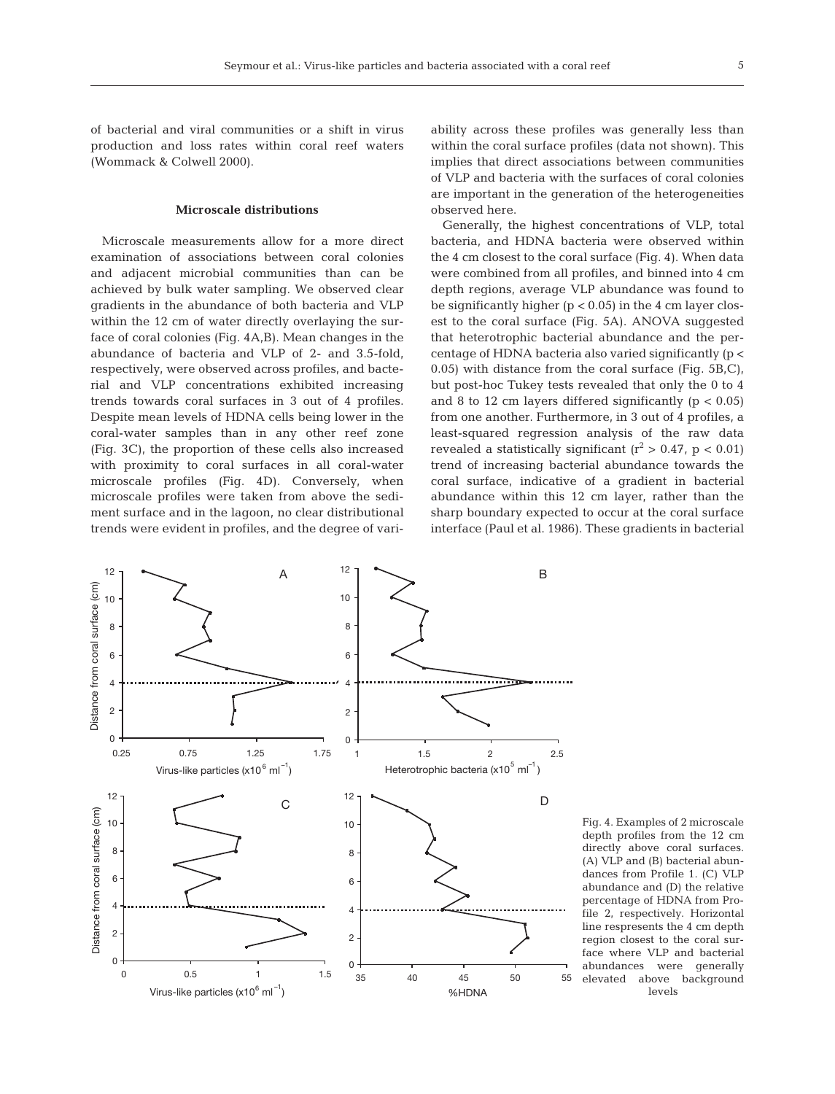of bacterial and viral communities or a shift in virus production and loss rates within coral reef waters (Wommack & Colwell 2000).

## **Microscale distributions**

Microscale measurements allow for a more direct examination of associations between coral colonies and adjacent microbial communities than can be achieved by bulk water sampling. We observed clear gradients in the abundance of both bacteria and VLP within the 12 cm of water directly overlaying the surface of coral colonies (Fig. 4A,B). Mean changes in the abundance of bacteria and VLP of 2- and 3.5-fold, respectively, were observed across profiles, and bacterial and VLP concentrations exhibited increasing trends towards coral surfaces in 3 out of 4 profiles. Despite mean levels of HDNA cells being lower in the coral-water samples than in any other reef zone (Fig. 3C), the proportion of these cells also increased with proximity to coral surfaces in all coral-water microscale profiles (Fig. 4D). Conversely, when microscale profiles were taken from above the sediment surface and in the lagoon, no clear distributional trends were evident in profiles, and the degree of variability across these profiles was generally less than within the coral surface profiles (data not shown). This implies that direct associations between communities of VLP and bacteria with the surfaces of coral colonies are important in the generation of the heterogeneities observed here.

Generally, the highest concentrations of VLP, total bacteria, and HDNA bacteria were observed within the 4 cm closest to the coral surface (Fig. 4). When data were combined from all profiles, and binned into 4 cm depth regions, average VLP abundance was found to be significantly higher  $(p < 0.05)$  in the 4 cm layer closest to the coral surface (Fig. 5A). ANOVA suggested that heterotrophic bacterial abundance and the percentage of HDNA bacteria also varied significantly (p < 0.05) with distance from the coral surface (Fig. 5B,C), but post-hoc Tukey tests revealed that only the 0 to 4 and 8 to 12 cm layers differed significantly  $(p < 0.05)$ from one another. Furthermore, in 3 out of 4 profiles, a least-squared regression analysis of the raw data revealed a statistically significant  $(r^2 > 0.47, p < 0.01)$ trend of increasing bacterial abundance towards the coral surface, indicative of a gradient in bacterial abundance within this 12 cm layer, rather than the sharp boundary expected to occur at the coral surface interface (Paul et al. 1986). These gradients in bacterial



Fig. 4. Examples of 2 microscale depth profiles from the 12 cm directly above coral surfaces. (A) VLP and (B) bacterial abundances from Profile 1. (C) VLP abundance and (D) the relative percentage of HDNA from Profile 2, respectively. Horizontal line respresents the 4 cm depth region closest to the coral surface where VLP and bacterial abundances were generally elevated above background levels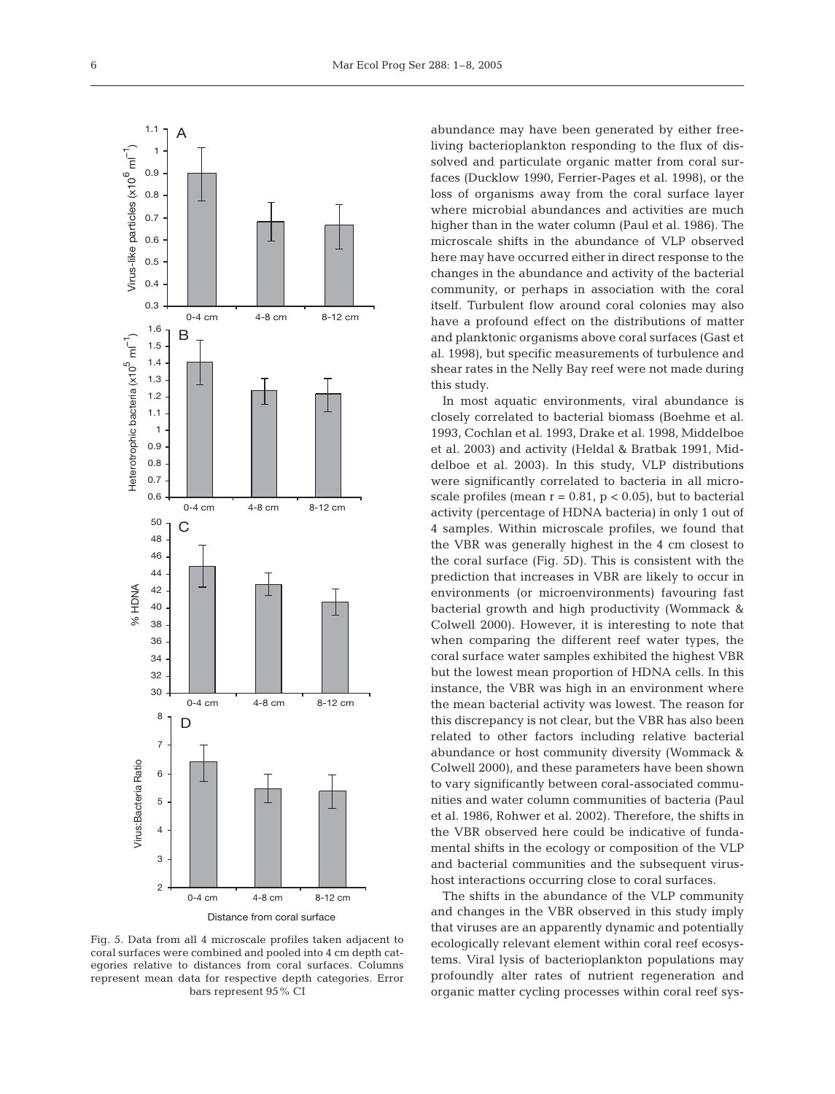

Fig. 5. Data from all 4 microscale profiles taken adjacent to coral surfaces were combined and pooled into 4 cm depth categories relative to distances from coral surfaces. Columns represent mean data for respective depth categories. Error bars represent 95% CI

abundance may have been generated by either freeliving bacterioplankton responding to the flux of dissolved and particulate organic matter from coral surfaces (Ducklow 1990, Ferrier-Pages et al. 1998), or the loss of organisms away from the coral surface layer where microbial abundances and activities are much higher than in the water column (Paul et al. 1986). The microscale shifts in the abundance of VLP observed here may have occurred either in direct response to the changes in the abundance and activity of the bacterial community, or perhaps in association with the coral itself. Turbulent flow around coral colonies may also have a profound effect on the distributions of matter and planktonic organisms above coral surfaces (Gast et al. 1998), but specific measurements of turbulence and shear rates in the Nelly Bay reef were not made during this study.

In most aquatic environments, viral abundance is closely correlated to bacterial biomass (Boehme et al. 1993, Cochlan et al. 1993, Drake et al. 1998, Middelboe et al. 2003) and activity (Heldal & Bratbak 1991, Middelboe et al. 2003). In this study, VLP distributions were significantly correlated to bacteria in all microscale profiles (mean  $r = 0.81$ ,  $p < 0.05$ ), but to bacterial activity (percentage of HDNA bacteria) in only 1 out of 4 samples. Within microscale profiles, we found that the VBR was generally highest in the 4 cm closest to the coral surface (Fig. 5D). This is consistent with the prediction that increases in VBR are likely to occur in environments (or microenvironments) favouring fast bacterial growth and high productivity (Wommack & Colwell 2000). However, it is interesting to note that when comparing the different reef water types, the coral surface water samples exhibited the highest VBR but the lowest mean proportion of HDNA cells. In this instance, the VBR was high in an environment where the mean bacterial activity was lowest. The reason for this discrepancy is not clear, but the VBR has also been related to other factors including relative bacterial abundance or host community diversity (Wommack & Colwell 2000), and these parameters have been shown to vary significantly between coral-associated communities and water column communities of bacteria (Paul et al. 1986, Rohwer et al. 2002). Therefore, the shifts in the VBR observed here could be indicative of fundamental shifts in the ecology or composition of the VLP and bacterial communities and the subsequent virushost interactions occurring close to coral surfaces.

The shifts in the abundance of the VLP community and changes in the VBR observed in this study imply that viruses are an apparently dynamic and potentially ecologically relevant element within coral reef ecosystems. Viral lysis of bacterioplankton populations may profoundly alter rates of nutrient regeneration and organic matter cycling processes within coral reef sys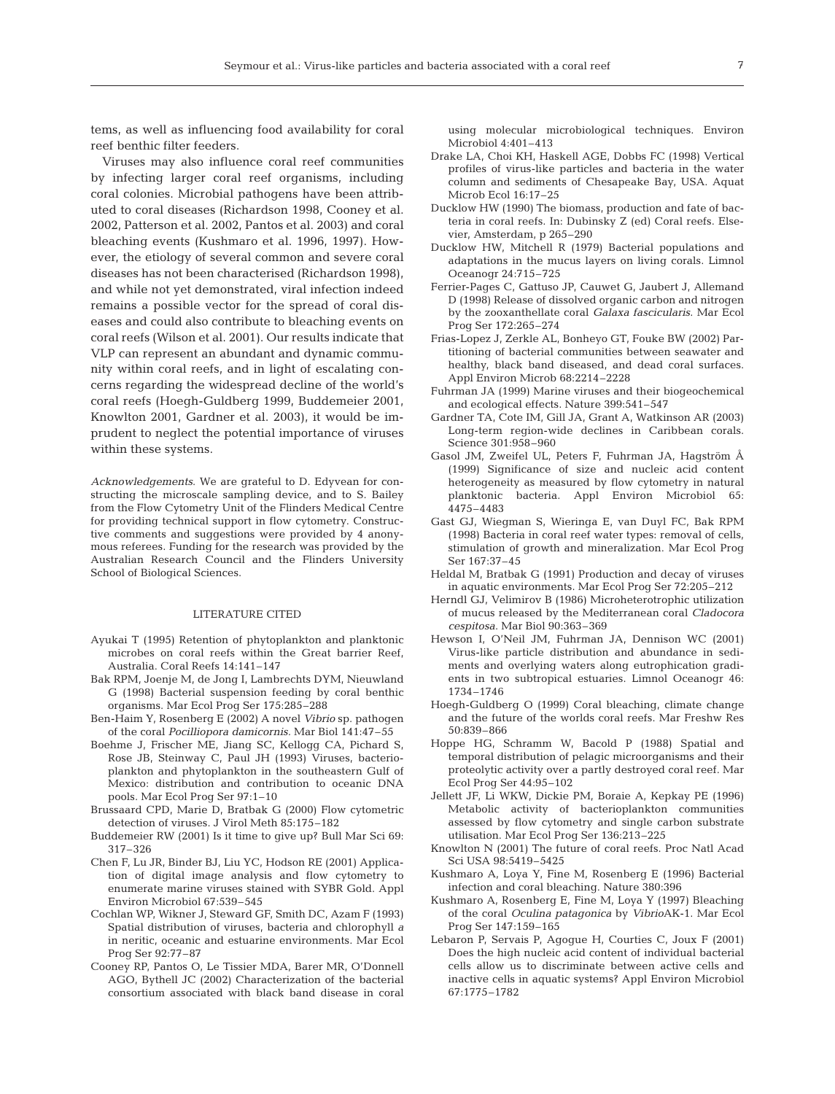tems, as well as influencing food availability for coral reef benthic filter feeders.

Viruses may also influence coral reef communities by infecting larger coral reef organisms, including coral colonies. Microbial pathogens have been attributed to coral diseases (Richardson 1998, Cooney et al. 2002, Patterson et al. 2002, Pantos et al. 2003) and coral bleaching events (Kushmaro et al. 1996, 1997). However, the etiology of several common and severe coral diseases has not been characterised (Richardson 1998), and while not yet demonstrated, viral infection indeed remains a possible vector for the spread of coral diseases and could also contribute to bleaching events on coral reefs (Wilson et al. 2001). Our results indicate that VLP can represent an abundant and dynamic community within coral reefs, and in light of escalating concerns regarding the widespread decline of the world's coral reefs (Hoegh-Guldberg 1999, Buddemeier 2001, Knowlton 2001, Gardner et al. 2003), it would be imprudent to neglect the potential importance of viruses within these systems.

*Acknowledgements*. We are grateful to D. Edyvean for constructing the microscale sampling device, and to S. Bailey from the Flow Cytometry Unit of the Flinders Medical Centre for providing technical support in flow cytometry. Constructive comments and suggestions were provided by 4 anonymous referees. Funding for the research was provided by the Australian Research Council and the Flinders University School of Biological Sciences.

#### LITERATURE CITED

- Ayukai T (1995) Retention of phytoplankton and planktonic microbes on coral reefs within the Great barrier Reef, Australia. Coral Reefs 14:141–147
- Bak RPM, Joenje M, de Jong I, Lambrechts DYM, Nieuwland G (1998) Bacterial suspension feeding by coral benthic organisms. Mar Ecol Prog Ser 175:285–288
- Ben-Haim Y, Rosenberg E (2002) A novel *Vibrio* sp. pathogen of the coral *Pocilliopora damicornis.* Mar Biol 141:47–55
- Boehme J, Frischer ME, Jiang SC, Kellogg CA, Pichard S, Rose JB, Steinway C, Paul JH (1993) Viruses, bacterioplankton and phytoplankton in the southeastern Gulf of Mexico: distribution and contribution to oceanic DNA pools. Mar Ecol Prog Ser 97:1–10
- Brussaard CPD, Marie D, Bratbak G (2000) Flow cytometric detection of viruses. J Virol Meth 85:175–182
- Buddemeier RW (2001) Is it time to give up? Bull Mar Sci 69: 317–326
- Chen F, Lu JR, Binder BJ, Liu YC, Hodson RE (2001) Application of digital image analysis and flow cytometry to enumerate marine viruses stained with SYBR Gold. Appl Environ Microbiol 67:539–545
- Cochlan WP, Wikner J, Steward GF, Smith DC, Azam F (1993) Spatial distribution of viruses, bacteria and chlorophyll *a* in neritic, oceanic and estuarine environments. Mar Ecol Prog Ser 92:77–87
- Cooney RP, Pantos O, Le Tissier MDA, Barer MR, O'Donnell AGO, Bythell JC (2002) Characterization of the bacterial consortium associated with black band disease in coral

using molecular microbiological techniques. Environ Microbiol 4:401–413

- Drake LA, Choi KH, Haskell AGE, Dobbs FC (1998) Vertical profiles of virus-like particles and bacteria in the water column and sediments of Chesapeake Bay, USA. Aquat Microb Ecol 16:17–25
- Ducklow HW (1990) The biomass, production and fate of bacteria in coral reefs. In: Dubinsky Z (ed) Coral reefs. Elsevier, Amsterdam, p 265–290
- Ducklow HW, Mitchell R (1979) Bacterial populations and adaptations in the mucus layers on living corals. Limnol Oceanogr 24:715–725
- Ferrier-Pages C, Gattuso JP, Cauwet G, Jaubert J, Allemand D (1998) Release of dissolved organic carbon and nitrogen by the zooxanthellate coral *Galaxa fascicularis*. Mar Ecol Prog Ser 172:265–274
- Frias-Lopez J, Zerkle AL, Bonheyo GT, Fouke BW (2002) Partitioning of bacterial communities between seawater and healthy, black band diseased, and dead coral surfaces. Appl Environ Microb 68:2214–2228
- Fuhrman JA (1999) Marine viruses and their biogeochemical and ecological effects. Nature 399:541–547
- Gardner TA, Cote IM, Gill JA, Grant A, Watkinson AR (2003) Long-term region-wide declines in Caribbean corals. Science 301:958–960
- Gasol JM, Zweifel UL, Peters F, Fuhrman JA, Hagström Å (1999) Significance of size and nucleic acid content heterogeneity as measured by flow cytometry in natural planktonic bacteria. Appl Environ Microbiol 65: 4475–4483
- Gast GJ, Wiegman S, Wieringa E, van Duyl FC, Bak RPM (1998) Bacteria in coral reef water types: removal of cells, stimulation of growth and mineralization. Mar Ecol Prog Ser 167:37–45
- Heldal M, Bratbak G (1991) Production and decay of viruses in aquatic environments. Mar Ecol Prog Ser 72:205–212
- Herndl GJ, Velimirov B (1986) Microheterotrophic utilization of mucus released by the Mediterranean coral *Cladocora cespitosa*. Mar Biol 90:363–369
- Hewson I, O'Neil JM, Fuhrman JA, Dennison WC (2001) Virus-like particle distribution and abundance in sediments and overlying waters along eutrophication gradients in two subtropical estuaries. Limnol Oceanogr 46: 1734–1746
- Hoegh-Guldberg O (1999) Coral bleaching, climate change and the future of the worlds coral reefs. Mar Freshw Res 50:839–866
- Hoppe HG, Schramm W, Bacold P (1988) Spatial and temporal distribution of pelagic microorganisms and their proteolytic activity over a partly destroyed coral reef. Mar Ecol Prog Ser 44:95–102
- Jellett JF, Li WKW, Dickie PM, Boraie A, Kepkay PE (1996) Metabolic activity of bacterioplankton communities assessed by flow cytometry and single carbon substrate utilisation. Mar Ecol Prog Ser 136:213–225
- Knowlton N (2001) The future of coral reefs. Proc Natl Acad Sci USA 98:5419–5425
- Kushmaro A, Loya Y, Fine M, Rosenberg E (1996) Bacterial infection and coral bleaching. Nature 380:396
- Kushmaro A, Rosenberg E, Fine M, Loya Y (1997) Bleaching of the coral *Oculina patagonica* by *Vibrio*AK-1. Mar Ecol Prog Ser 147:159–165
- Lebaron P, Servais P, Agogue H, Courties C, Joux F (2001) Does the high nucleic acid content of individual bacterial cells allow us to discriminate between active cells and inactive cells in aquatic systems? Appl Environ Microbiol 67:1775–1782